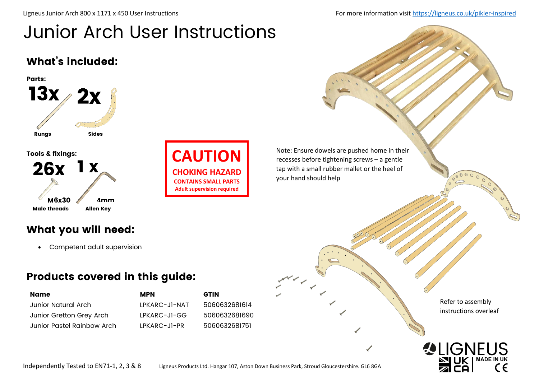Ligneus Junior Arch 800 x 1171 x 450 User Instructions For more information visit<https://ligneus.co.uk/pikler-inspired>

# Junior Arch User Instructions

#### What's included:





Note: Ensure dowels are pushed home in their recesses before tightening screws – a gentle tap with a small rubber mallet or the heel of your hand should help

What you will need:

• Competent adult supervision

#### Products covered in this guide:

| Name                       | <b>MPN</b>     | <b>GTIN</b>   |
|----------------------------|----------------|---------------|
| Junior Natural Arch        | IPKARC-JI-NAT  | 5060632681614 |
| Junior Gretton Grey Arch   | $IPKARC-JI-GG$ | 5060632681690 |
| Junior Pastel Rainbow Arch | $IPKARC-JI-PR$ | 5060632681751 |

Refer to assembly instructions overleaf